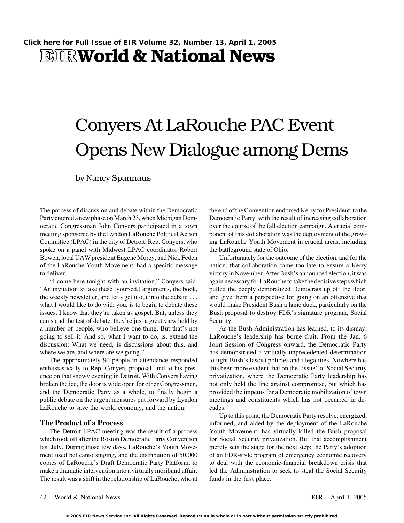## **EIRWorld & National News**

# Conyers At LaRouche PAC Event Opens New Dialogue among Dems

by Nancy Spannaus

The process of discussion and debate within the Democratic the end of the Convention endorsed Kerry for President, to the Party entered a new phase on March 23, when Michigan Dem-<br>Democratic Party, with the result of increasing collaboration ocratic Congressman John Conyers participated in a town over the course of the fall election campaign. A crucial commeeting sponsored by the Lyndon LaRouche Political Action ponent of this collaboration was the deployment of the grow-Committee (LPAC) in the city of Detroit. Rep. Conyers, who ing LaRouche Youth Movement in crucial areas, including spoke on a panel with Midwest LPAC coordinator Robert the battleground state of Ohio. Bowen, local UAW president Eugene Morey, and Nick Feden Unfortunately for the outcome of the election, and for the of the LaRouche Youth Movement, had a specific message nation, that collaboration came too late to ensure a Kerry to deliver. victory in November. After Bush's announced election, it was

"An invitation to take these [your-ed.] arguments, the book, pulled the deeply demoralized Democrats up off the floor, the weekly newsletter, and let's get it out into the debate . . . and give them a perspective for going on an offensive that what I would like to do with you, is to begin to debate these would make President Bush a lame duck, particularly on the issues. I know that they're taken as gospel. But, unless they Bush proposal to destroy FDR's signature program, Social can stand the test of debate, they're just a great view held by Security. a number of people, who believe one thing. But that's not As the Bush Administration has learned, to its dismay, going to sell it. And so, what I want to do, is, extend the LaRouche's leadership has borne fruit. From the Jan. 6 discussion: What we need, is discussions about this, and Joint Session of Congress onward, the Democratic Party where we are, and where are we going." has demonstrated a virtually unprecedented determination

enthusiastically to Rep. Conyers proposal, and to his pres- this been more evident that on the "issue" of Social Security ence on that snowy evening in Detroit. With Conyers having privatization, where the Democratic Party leadership has broken the ice, the door is wide open for other Congressmen, not only held the line against compromise, but which has and the Democratic Party as a whole, to finally begin a provided the impetus for a Democratic mobilization of town public debate on the urgent measures put forward by Lyndon meetings and constituents which has not occurred in de-LaRouche to save the world economy, and the nation. cades.

which took off after the Boston Democratic Party Convention for Social Security privatization. But that accomplishment last July. During those few days, LaRouche's Youth Move- merely sets the stage for the next step: the Party's adoption ment used bel canto singing, and the distribution of 50,000 of an FDR-style program of emergency economic recovery copies of LaRouche's Draft Democratic Party Platform, to to deal with the economic-financial breakdown crisis that make a dramatic intervention into a virtually moribund affair. led the Administration to seek to steal the Social Security The result was a shift in the relationship of LaRouche, who at funds in the first place.

"I come here tonight with an invitation," Conyers said. again necessary for LaRouche to take the decisive steps which

The approximately 90 people in attendance responded to fight Bush's fascist policies and illegalities. Nowhere has

Up to this point, the Democratic Party resolve, energized, **The Product of a Process** informed, and aided by the deployment of the LaRouche The Detroit LPAC meeting was the result of a process Youth Movement, has virtually killed the Bush proposal